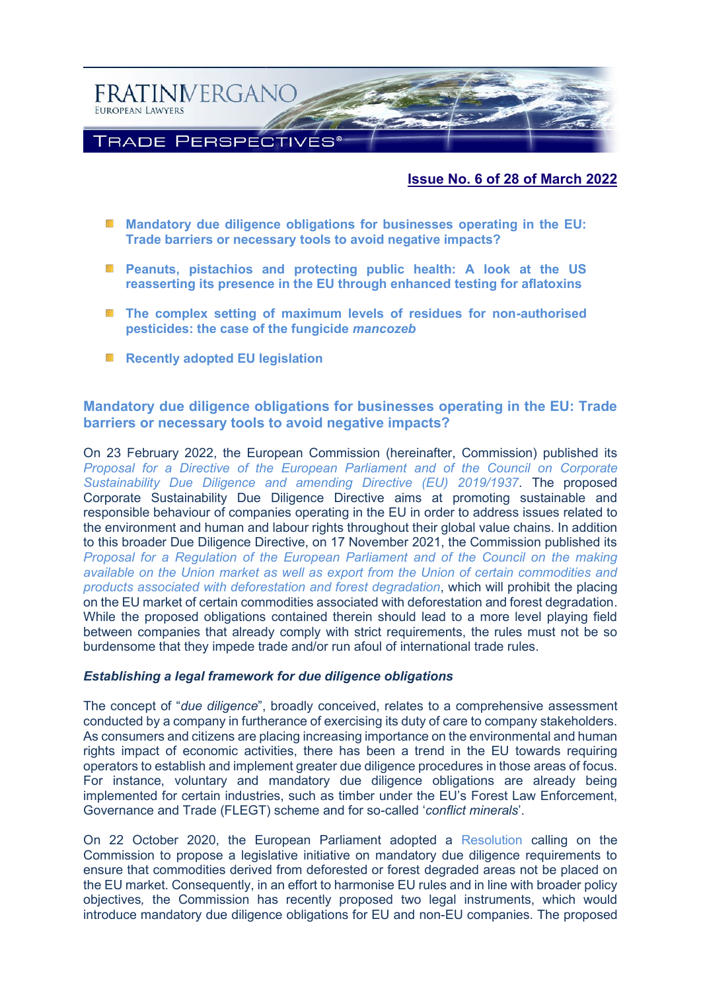

### **Issue No. 6 of 28 of March 2022**

- **[Mandatory due diligence obligations for businesses operating in the EU:](#page-0-0)  Trade barriers or necessary tools [to avoid negative impacts?](#page-0-0)**
- **[Peanuts, pistachios and protecting public health: A look at the US](#page-3-0)  [reasserting its presence in the EU through enhanced testing for aflatoxins](#page-3-0)**
- **■** The complex setting of maximum levels of residues for non-authorised **[pesticides: the case of the fungicide](#page-6-0)** *mancozeb*
- **[Recently adopted EU legislation](#page-8-0)**

# <span id="page-0-0"></span>**Mandatory due diligence obligations for businesses operating in the EU: Trade barriers or necessary tools to avoid negative impacts?**

On 23 February 2022, the European Commission (hereinafter, Commission) published its *Proposal for a [Directive of the European Parliament and of the Council on](https://ec.europa.eu/info/publications/proposal-directive-corporate-sustainable-due-diligence-and-annex_en) Corporate [Sustainability Due Diligence and amending Directive \(EU\) 2019/1937](https://ec.europa.eu/info/publications/proposal-directive-corporate-sustainable-due-diligence-and-annex_en)*. The proposed Corporate Sustainability Due Diligence Directive aims at promoting sustainable and responsible behaviour of companies operating in the EU in order to address issues related to the environment and human and labour rights throughout their global value chains. In addition to this broader Due Diligence Directive, on 17 November 2021, the Commission published its *[Proposal for a Regulation of the European Parliament and of the Council on the making](https://ec.europa.eu/environment/publications/proposal-regulation-deforestation-free-products_en)  [available on the Union market as well as export from the Union of certain commodities and](https://ec.europa.eu/environment/publications/proposal-regulation-deforestation-free-products_en)  [products associated with deforestation and forest degradation](https://ec.europa.eu/environment/publications/proposal-regulation-deforestation-free-products_en)*, which will prohibit the placing on the EU market of certain commodities associated with deforestation and forest degradation. While the proposed obligations contained therein should lead to a more level playing field between companies that already comply with strict requirements, the rules must not be so burdensome that they impede trade and/or run afoul of international trade rules.

### *Establishing a legal framework for due diligence obligations*

The concept of "*due diligence*", broadly conceived, relates to a comprehensive assessment conducted by a company in furtherance of exercising its duty of care to company stakeholders. As consumers and citizens are placing increasing importance on the environmental and human rights impact of economic activities, there has been a trend in the EU towards requiring operators to establish and implement greater due diligence procedures in those areas of focus. For instance, voluntary and mandatory due diligence obligations are already being implemented for certain industries, such as timber under the EU's Forest Law Enforcement, Governance and Trade (FLEGT) scheme and for so-called '*conflict minerals*'.

On 22 October 2020, the European Parliament adopted a [Resolution](https://www.europarl.europa.eu/doceo/document/TA-9-2020-0285_EN.html) calling on the Commission to propose a legislative initiative on mandatory due diligence requirements to ensure that commodities derived from deforested or forest degraded areas not be placed on the EU market. Consequently, in an effort to harmonise EU rules and in line with broader policy objectives*,* the Commission has recently proposed two legal instruments, which would introduce mandatory due diligence obligations for EU and non-EU companies. The proposed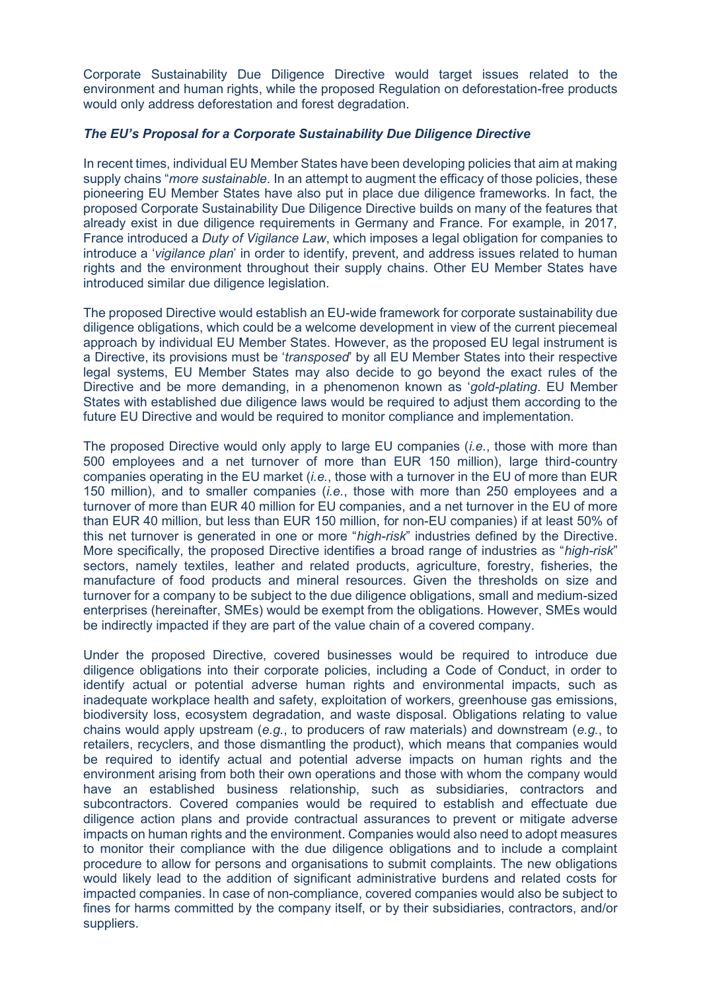Corporate Sustainability Due Diligence Directive would target issues related to the environment and human rights, while the proposed Regulation on deforestation-free products would only address deforestation and forest degradation.

### *The EU's Proposal for a Corporate Sustainability Due Diligence Directive*

In recent times, individual EU Member States have been developing policies that aim at making supply chains "*more sustainable*. In an attempt to augment the efficacy of those policies, these pioneering EU Member States have also put in place due diligence frameworks. In fact, the proposed Corporate Sustainability Due Diligence Directive builds on many of the features that already exist in due diligence requirements in Germany and France. For example, in 2017, France introduced a *Duty of Vigilance Law*, which imposes a legal obligation for companies to introduce a '*vigilance plan*' in order to identify, prevent, and address issues related to human rights and the environment throughout their supply chains. Other EU Member States have introduced similar due diligence legislation.

The proposed Directive would establish an EU-wide framework for corporate sustainability due diligence obligations, which could be a welcome development in view of the current piecemeal approach by individual EU Member States. However, as the proposed EU legal instrument is a Directive, its provisions must be '*transposed*' by all EU Member States into their respective legal systems, EU Member States may also decide to go beyond the exact rules of the Directive and be more demanding, in a phenomenon known as '*gold-plating*. EU Member States with established due diligence laws would be required to adjust them according to the future EU Directive and would be required to monitor compliance and implementation.

The proposed Directive would only apply to large EU companies (*i.e.*, those with more than 500 employees and a net turnover of more than EUR 150 million), large third-country companies operating in the EU market (*i.e.*, those with a turnover in the EU of more than EUR 150 million), and to smaller companies (*i.e.*, those with more than 250 employees and a turnover of more than EUR 40 million for EU companies, and a net turnover in the EU of more than EUR 40 million, but less than EUR 150 million, for non-EU companies) if at least 50% of this net turnover is generated in one or more "*high-risk*" industries defined by the Directive. More specifically, the proposed Directive identifies a broad range of industries as "*high-risk*" sectors, namely textiles, leather and related products, agriculture, forestry, fisheries, the manufacture of food products and mineral resources. Given the thresholds on size and turnover for a company to be subject to the due diligence obligations, small and medium-sized enterprises (hereinafter, SMEs) would be exempt from the obligations. However, SMEs would be indirectly impacted if they are part of the value chain of a covered company.

Under the proposed Directive, covered businesses would be required to introduce due diligence obligations into their corporate policies, including a Code of Conduct, in order to identify actual or potential adverse human rights and environmental impacts, such as inadequate workplace health and safety, exploitation of workers, greenhouse gas emissions, biodiversity loss, ecosystem degradation, and waste disposal. Obligations relating to value chains would apply upstream (*e.g.*, to producers of raw materials) and downstream (*e.g.*, to retailers, recyclers, and those dismantling the product), which means that companies would be required to identify actual and potential adverse impacts on human rights and the environment arising from both their own operations and those with whom the company would have an established business relationship, such as subsidiaries, contractors and subcontractors. Covered companies would be required to establish and effectuate due diligence action plans and provide contractual assurances to prevent or mitigate adverse impacts on human rights and the environment. Companies would also need to adopt measures to monitor their compliance with the due diligence obligations and to include a complaint procedure to allow for persons and organisations to submit complaints. The new obligations would likely lead to the addition of significant administrative burdens and related costs for impacted companies. In case of non-compliance, covered companies would also be subject to fines for harms committed by the company itself, or by their subsidiaries, contractors, and/or suppliers.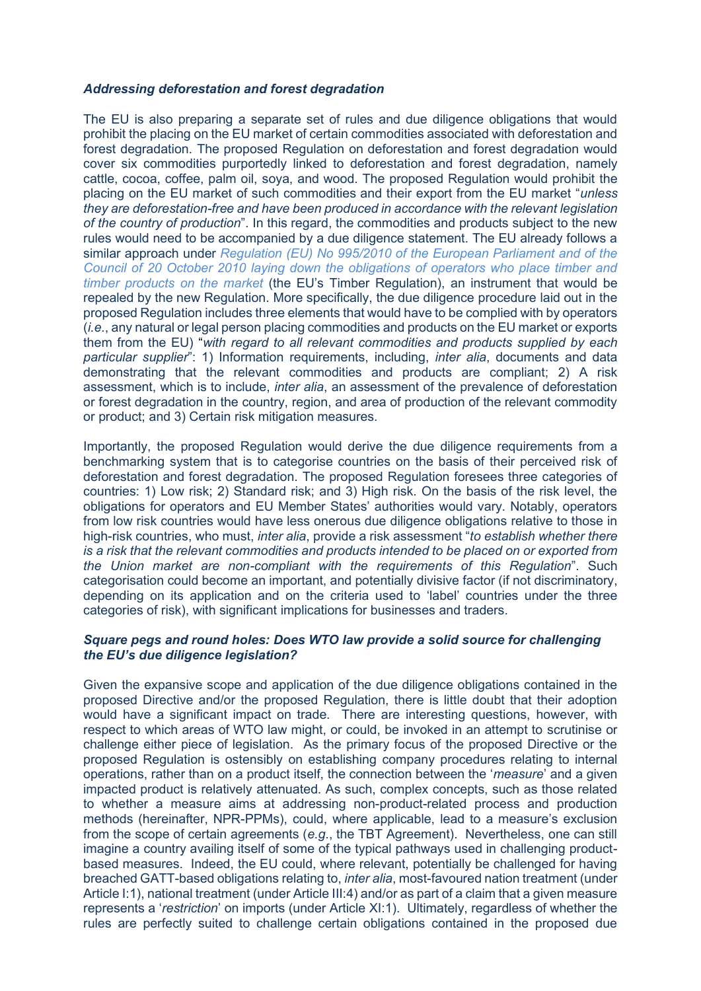### *Addressing deforestation and forest degradation*

The EU is also preparing a separate set of rules and due diligence obligations that would prohibit the placing on the EU market of certain commodities associated with deforestation and forest degradation. The proposed Regulation on deforestation and forest degradation would cover six commodities purportedly linked to deforestation and forest degradation, namely cattle, cocoa, coffee, palm oil, soya, and wood. The proposed Regulation would prohibit the placing on the EU market of such commodities and their export from the EU market "*unless they are deforestation-free and have been produced in accordance with the relevant legislation of the country of production*". In this regard, the commodities and products subject to the new rules would need to be accompanied by a due diligence statement. The EU already follows a similar approach under *[Regulation \(EU\) No 995/2010 of the European Parliament and of the](https://eur-lex.europa.eu/legal-content/EN/ALL/?uri=celex:32010R0995)  [Council of 20 October 2010 laying down the obligations of operators who place timber and](https://eur-lex.europa.eu/legal-content/EN/ALL/?uri=celex:32010R0995)  [timber products on the market](https://eur-lex.europa.eu/legal-content/EN/ALL/?uri=celex:32010R0995)* (the EU's Timber Regulation), an instrument that would be repealed by the new Regulation. More specifically, the due diligence procedure laid out in the proposed Regulation includes three elements that would have to be complied with by operators (*i.e.*, any natural or legal person placing commodities and products on the EU market or exports them from the EU) "*with regard to all relevant commodities and products supplied by each particular supplier*": 1) Information requirements, including, *inter alia*, documents and data demonstrating that the relevant commodities and products are compliant; 2) A risk assessment, which is to include, *inter alia*, an assessment of the prevalence of deforestation or forest degradation in the country, region, and area of production of the relevant commodity or product; and 3) Certain risk mitigation measures.

Importantly, the proposed Regulation would derive the due diligence requirements from a benchmarking system that is to categorise countries on the basis of their perceived risk of deforestation and forest degradation. The proposed Regulation foresees three categories of countries: 1) Low risk; 2) Standard risk; and 3) High risk. On the basis of the risk level, the obligations for operators and EU Member States' authorities would vary. Notably, operators from low risk countries would have less onerous due diligence obligations relative to those in high-risk countries, who must, *inter alia*, provide a risk assessment "*to establish whether there is a risk that the relevant commodities and products intended to be placed on or exported from the Union market are non-compliant with the requirements of this Regulation*". Such categorisation could become an important, and potentially divisive factor (if not discriminatory, depending on its application and on the criteria used to 'label' countries under the three categories of risk), with significant implications for businesses and traders.

### *Square pegs and round holes: Does WTO law provide a solid source for challenging the EU's due diligence legislation?*

Given the expansive scope and application of the due diligence obligations contained in the proposed Directive and/or the proposed Regulation, there is little doubt that their adoption would have a significant impact on trade. There are interesting questions, however, with respect to which areas of WTO law might, or could, be invoked in an attempt to scrutinise or challenge either piece of legislation. As the primary focus of the proposed Directive or the proposed Regulation is ostensibly on establishing company procedures relating to internal operations, rather than on a product itself, the connection between the '*measure*' and a given impacted product is relatively attenuated. As such, complex concepts, such as those related to whether a measure aims at addressing non-product-related process and production methods (hereinafter, NPR-PPMs), could, where applicable, lead to a measure's exclusion from the scope of certain agreements (*e.g*., the TBT Agreement). Nevertheless, one can still imagine a country availing itself of some of the typical pathways used in challenging productbased measures. Indeed, the EU could, where relevant, potentially be challenged for having breached GATT-based obligations relating to, *inter alia*, most-favoured nation treatment (under Article I:1), national treatment (under Article III:4) and/or as part of a claim that a given measure represents a '*restriction*' on imports (under Article XI:1). Ultimately, regardless of whether the rules are perfectly suited to challenge certain obligations contained in the proposed due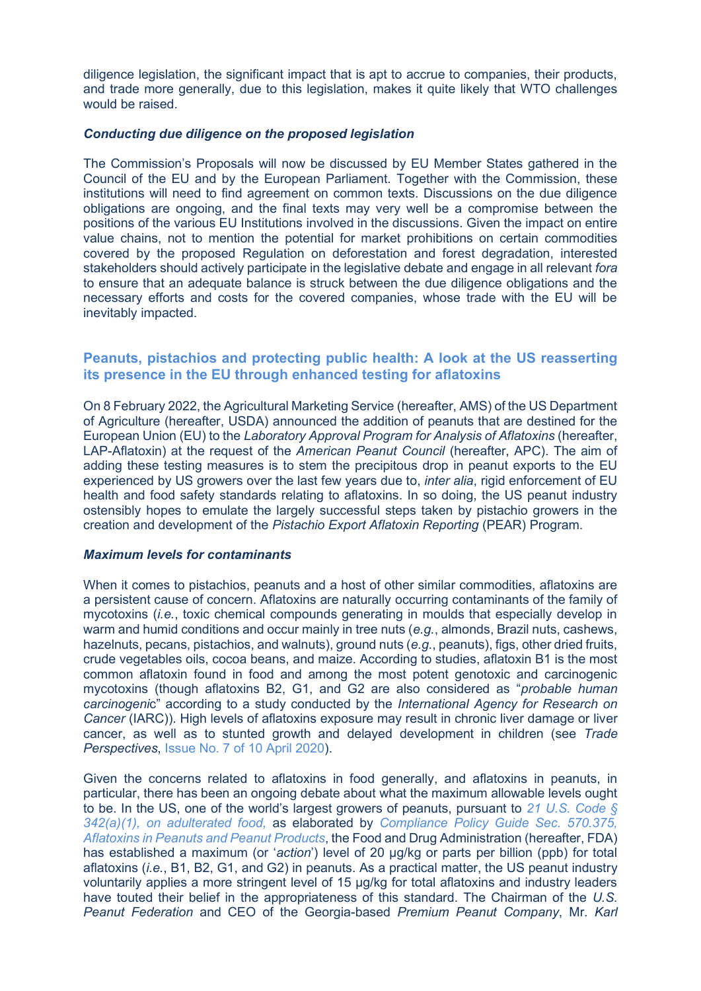diligence legislation, the significant impact that is apt to accrue to companies, their products, and trade more generally, due to this legislation, makes it quite likely that WTO challenges would be raised.

### *Conducting due diligence on the proposed legislation*

The Commission's Proposals will now be discussed by EU Member States gathered in the Council of the EU and by the European Parliament. Together with the Commission, these institutions will need to find agreement on common texts. Discussions on the due diligence obligations are ongoing, and the final texts may very well be a compromise between the positions of the various EU Institutions involved in the discussions. Given the impact on entire value chains, not to mention the potential for market prohibitions on certain commodities covered by the proposed Regulation on deforestation and forest degradation, interested stakeholders should actively participate in the legislative debate and engage in all relevant *fora*  to ensure that an adequate balance is struck between the due diligence obligations and the necessary efforts and costs for the covered companies, whose trade with the EU will be inevitably impacted.

# <span id="page-3-0"></span>**Peanuts, pistachios and protecting public health: A look at the US reasserting its presence in the EU through enhanced testing for aflatoxins**

On 8 February 2022, the Agricultural Marketing Service (hereafter, AMS) of the US Department of Agriculture (hereafter, USDA) announced the addition of peanuts that are destined for the European Union (EU) to the *Laboratory Approval Program for Analysis of Aflatoxins* (hereafter, LAP-Aflatoxin) at the request of the *American Peanut Council* (hereafter, APC). The aim of adding these testing measures is to stem the precipitous drop in peanut exports to the EU experienced by US growers over the last few years due to, *inter alia*, rigid enforcement of EU health and food safety standards relating to aflatoxins. In so doing, the US peanut industry ostensibly hopes to emulate the largely successful steps taken by pistachio growers in the creation and development of the *Pistachio Export Aflatoxin Reporting* (PEAR) Program.

# *Maximum levels for contaminants*

When it comes to pistachios, peanuts and a host of other similar commodities, aflatoxins are a persistent cause of concern. Aflatoxins are naturally occurring contaminants of the family of mycotoxins (*i.e.*, toxic chemical compounds generating in moulds that especially develop in warm and humid conditions and occur mainly in tree nuts (*e.g.*, almonds, Brazil nuts, cashews, hazelnuts, pecans, pistachios, and walnuts), ground nuts (*e.g.*, peanuts), figs, other dried fruits, crude vegetables oils, cocoa beans, and maize. According to studies, aflatoxin B1 is the most common aflatoxin found in food and among the most potent genotoxic and carcinogenic mycotoxins (though aflatoxins B2, G1, and G2 are also considered as "*probable human carcinogeni*c" according to a study conducted by the *International Agency for Research on Cancer* (IARC)). High levels of aflatoxins exposure may result in chronic liver damage or liver cancer, as well as to stunted growth and delayed development in children (see *Trade Perspectives*, [Issue No. 7 of 10 April 2020\)](http://www.fratinivergano.eu/en/trade-perspectives/issue-number-7-10-april-2020/#_The_EFSA_confirms).

Given the concerns related to aflatoxins in food generally, and aflatoxins in peanuts, in particular, there has been an ongoing debate about what the maximum allowable levels ought to be. In the US, one of the world's largest growers of peanuts, pursuant to *[21 U.S. Code §](https://www.govinfo.gov/content/pkg/USCODE-2011-title21/pdf/USCODE-2011-title21-chap9-subchapIV-sec342.pdf)  [342\(a\)\(1\),](https://www.govinfo.gov/content/pkg/USCODE-2011-title21/pdf/USCODE-2011-title21-chap9-subchapIV-sec342.pdf) on adulterated food,* as elaborated by *Compliance Policy Guide Sec. 570.375, Aflatoxins in Peanuts and Peanut Products*, the Food and Drug Administration (hereafter, FDA) has established a maximum (or '*action*') level of 20 μg/kg or parts per billion (ppb) for total aflatoxins (*i.e.*, B1, B2, G1, and G2) in peanuts. As a practical matter, the US peanut industry voluntarily applies a more stringent level of 15 μg/kg for total aflatoxins and industry leaders have touted their belief in the appropriateness of this standard. The Chairman of the *U.S. Peanut Federation* and CEO of the Georgia-based *Premium Peanut Company*, Mr. *Karl*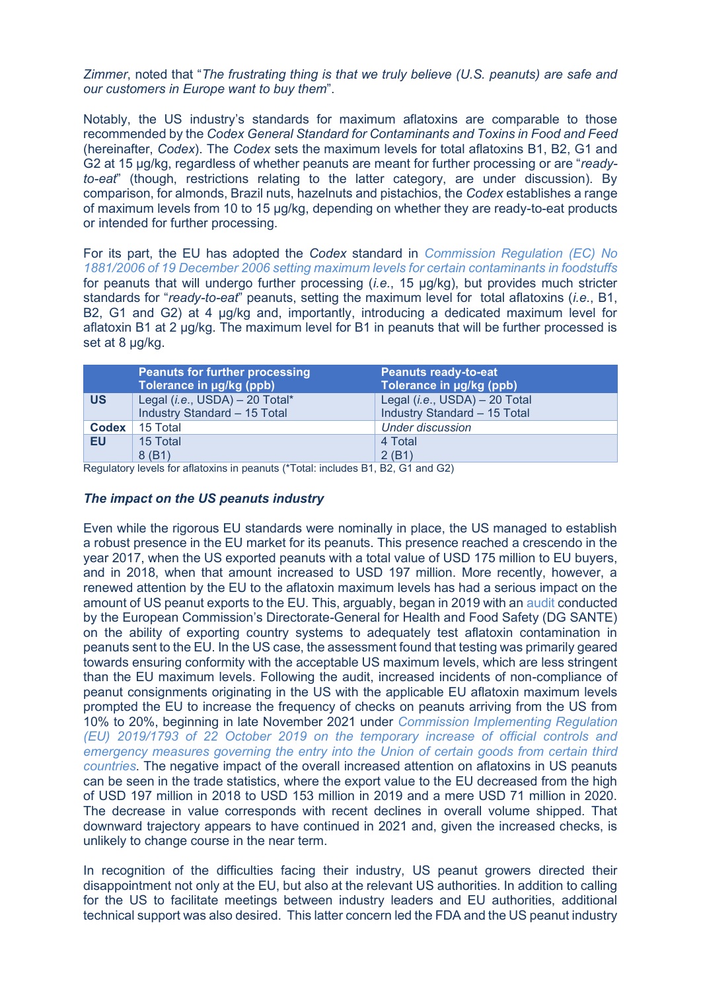*Zimmer*, noted that "*The frustrating thing is that we truly believe (U.S. peanuts) are safe and our customers in Europe want to buy them*".

Notably, the US industry's standards for maximum aflatoxins are comparable to those recommended by the *Codex General Standard for Contaminants and Toxins in Food and Feed* (hereinafter, *Codex*). The *Codex* sets the maximum levels for total aflatoxins B1, B2, G1 and G2 at 15 μg/kg, regardless of whether peanuts are meant for further processing or are "*readyto-eat*" (though, restrictions relating to the latter category, are under discussion). By comparison, for almonds, Brazil nuts, hazelnuts and pistachios, the *Codex* establishes a range of maximum levels from 10 to 15 μg/kg, depending on whether they are ready-to-eat products or intended for further processing.

For its part, the EU has adopted the *Codex* standard in *[Commission Regulation \(EC\) No](https://eur-lex.europa.eu/legal-content/EN/ALL/?uri=celex%3A32006R1881)  [1881/2006 of 19 December 2006 setting maximum levels for certain contaminants in foodstuffs](https://eur-lex.europa.eu/legal-content/EN/ALL/?uri=celex%3A32006R1881)* for peanuts that will undergo further processing (*i.e.*, 15 μg/kg), but provides much stricter standards for "*ready-to-eat*" peanuts, setting the maximum level for total aflatoxins (*i.e.*, B1, B2, G1 and G2) at 4 μg/kg and, importantly, introducing a dedicated maximum level for aflatoxin B1 at 2 μg/kg. The maximum level for B1 in peanuts that will be further processed is set at 8 μg/kg.

| <b>Peanuts for further processing</b>     | <b>Peanuts ready-to-eat</b>              |
|-------------------------------------------|------------------------------------------|
| Tolerance in ug/kg (ppb)                  | Tolerance in µg/kg (ppb)                 |
| Legal ( <i>i.e.</i> , USDA) $-$ 20 Total* | Legal ( <i>i.e.</i> , USDA) $-$ 20 Total |
| Industry Standard - 15 Total              | Industry Standard - 15 Total             |
| 15 Total                                  | <b>Under discussion</b>                  |
| 15 Total                                  | 4 Total                                  |
| 8(B1)                                     | 2(B1)                                    |
|                                           |                                          |

Regulatory levels for aflatoxins in peanuts (\*Total: includes B1, B2, G1 and G2)

# *The impact on the US peanuts industry*

Even while the rigorous EU standards were nominally in place, the US managed to establish a robust presence in the EU market for its peanuts. This presence reached a crescendo in the year 2017, when the US exported peanuts with a total value of USD 175 million to EU buyers, and in 2018, when that amount increased to USD 197 million. More recently, however, a renewed attention by the EU to the aflatoxin maximum levels has had a serious impact on the amount of US peanut exports to the EU. This, arguably, began in 2019 with an [audit](https://www.google.com/url?sa=t&rct=j&q=&esrc=s&source=web&cd=&ved=2ahUKEwiqkfH7tub2AhWE8LsIHZW5BCYQFnoECAMQAQ&url=https%3A%2F%2Fec.europa.eu%2Ffood%2Faudits-analysis%2Fact_getPDF.cfm%3FPDF_ID%3D14809&usg=AOvVaw3E6nc2w6FJmoDCgQEDVMvd) conducted by the European Commission's Directorate-General for Health and Food Safety (DG SANTE) on the ability of exporting country systems to adequately test aflatoxin contamination in peanuts sent to the EU. In the US case, the assessment found that testing was primarily geared towards ensuring conformity with the acceptable US maximum levels, which are less stringent than the EU maximum levels. Following the audit, increased incidents of non-compliance of peanut consignments originating in the US with the applicable EU aflatoxin maximum levels prompted the EU to increase the frequency of checks on peanuts arriving from the US from 10% to 20%, beginning in late November 2021 under *[Commission Implementing Regulation](https://eur-lex.europa.eu/legal-content/EN/TXT/?uri=CELEX%3A02019R1793-20220106)  [\(EU\) 2019/1793 of 22 October 2019 on the temporary increase of official controls and](https://eur-lex.europa.eu/legal-content/EN/TXT/?uri=CELEX%3A02019R1793-20220106)  [emergency measures governing the entry into the Union of certain goods from certain third](https://eur-lex.europa.eu/legal-content/EN/TXT/?uri=CELEX%3A02019R1793-20220106)  [countries](https://eur-lex.europa.eu/legal-content/EN/TXT/?uri=CELEX%3A02019R1793-20220106)*. The negative impact of the overall increased attention on aflatoxins in US peanuts can be seen in the trade statistics, where the export value to the EU decreased from the high of USD 197 million in 2018 to USD 153 million in 2019 and a mere USD 71 million in 2020. The decrease in value corresponds with recent declines in overall volume shipped. That downward trajectory appears to have continued in 2021 and, given the increased checks, is unlikely to change course in the near term.

In recognition of the difficulties facing their industry, US peanut growers directed their disappointment not only at the EU, but also at the relevant US authorities. In addition to calling for the US to facilitate meetings between industry leaders and EU authorities, additional technical support was also desired. This latter concern led the FDA and the US peanut industry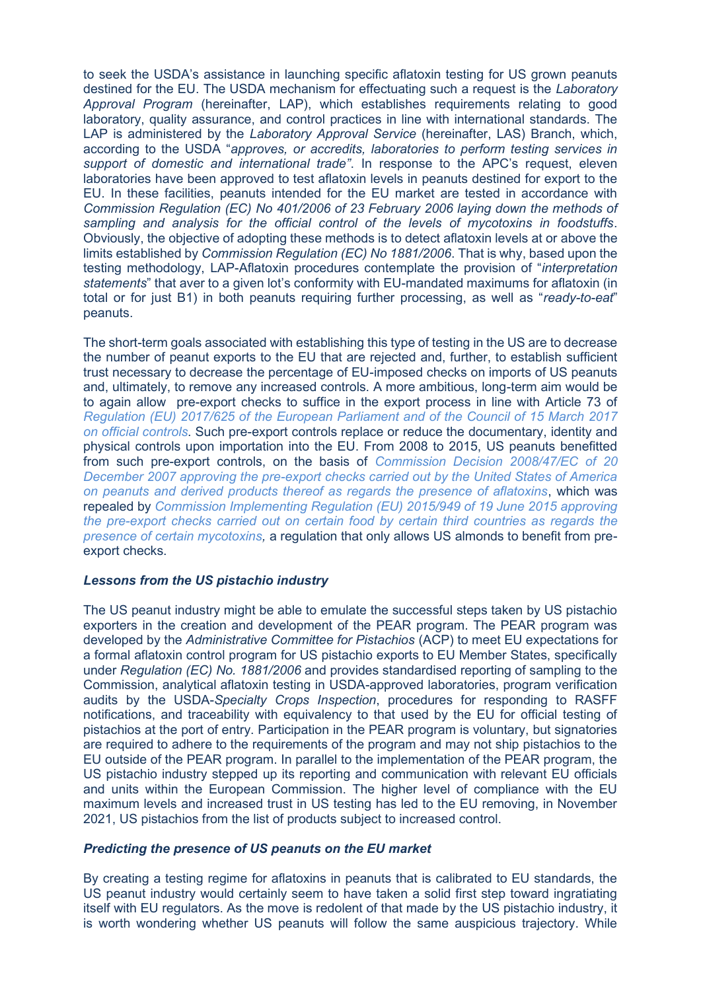to seek the USDA's assistance in launching specific aflatoxin testing for US grown peanuts destined for the EU. The USDA mechanism for effectuating such a request is the *Laboratory Approval Program* (hereinafter, LAP), which establishes requirements relating to good laboratory, quality assurance, and control practices in line with international standards. The LAP is administered by the *Laboratory Approval Service* (hereinafter, LAS) Branch, which, according to the USDA "*approves, or accredits, laboratories to perform testing services in support of domestic and international trade"*. In response to the APC's request, eleven laboratories have been approved to test aflatoxin levels in peanuts destined for export to the EU. In these facilities, peanuts intended for the EU market are tested in accordance with *Commission Regulation (EC) No 401/2006 of 23 February 2006 laying down the methods of sampling and analysis for the official control of the levels of mycotoxins in foodstuffs*. Obviously, the objective of adopting these methods is to detect aflatoxin levels at or above the limits established by *Commission Regulation (EC) No 1881/2006*. That is why, based upon the testing methodology, LAP-Aflatoxin procedures contemplate the provision of "*interpretation statements*" that aver to a given lot's conformity with EU-mandated maximums for aflatoxin (in total or for just B1) in both peanuts requiring further processing, as well as "*ready-to-eat*" peanuts.

The short-term goals associated with establishing this type of testing in the US are to decrease the number of peanut exports to the EU that are rejected and, further, to establish sufficient trust necessary to decrease the percentage of EU-imposed checks on imports of US peanuts and, ultimately, to remove any increased controls. A more ambitious, long-term aim would be to again allow pre-export checks to suffice in the export process in line with Article 73 of *[Regulation \(EU\) 2017/625 of the European Parliament and of the Council of 15 March 2017](https://eur-lex.europa.eu/legal-content/EN/TXT/?uri=celex%3A32017R0625)  [on official controls](https://eur-lex.europa.eu/legal-content/EN/TXT/?uri=celex%3A32017R0625)*. Such pre-export controls replace or reduce the documentary, identity and physical controls upon importation into the EU. From 2008 to 2015, US peanuts benefitted from such pre-export controls, on the basis of *[Commission Decision 2008/47/EC of 20](https://eur-lex.europa.eu/legal-content/EN/TXT/?uri=CELEX:32008D0047)  [December 2007 approving the pre-export checks carried out by the United States of America](https://eur-lex.europa.eu/legal-content/EN/TXT/?uri=CELEX:32008D0047)  [on peanuts and derived products thereof as regards the presence of aflatoxins](https://eur-lex.europa.eu/legal-content/EN/TXT/?uri=CELEX:32008D0047)*, which was repealed by *[Commission Implementing Regulation \(EU\) 2015/949 of 19 June 2015 approving](https://eur-lex.europa.eu/legal-content/EN/TXT/?uri=CELEX%3A02015R0949-20170717)  [the pre-export checks carried out on certain food by certain third](https://eur-lex.europa.eu/legal-content/EN/TXT/?uri=CELEX%3A02015R0949-20170717) countries as regards the [presence of certain mycotoxins,](https://eur-lex.europa.eu/legal-content/EN/TXT/?uri=CELEX%3A02015R0949-20170717)* a regulation that only allows US almonds to benefit from preexport checks.

# *Lessons from the US pistachio industry*

The US peanut industry might be able to emulate the successful steps taken by US pistachio exporters in the creation and development of the PEAR program. The PEAR program was developed by the *Administrative Committee for Pistachios* (ACP) to meet EU expectations for a formal aflatoxin control program for US pistachio exports to EU Member States, specifically under *Regulation (EC) No. 1881/2006* and provides standardised reporting of sampling to the Commission, analytical aflatoxin testing in USDA-approved laboratories, program verification audits by the USDA-*Specialty Crops Inspection*, procedures for responding to RASFF notifications, and traceability with equivalency to that used by the EU for official testing of pistachios at the port of entry. Participation in the PEAR program is voluntary, but signatories are required to adhere to the requirements of the program and may not ship pistachios to the EU outside of the PEAR program. In parallel to the implementation of the PEAR program, the US pistachio industry stepped up its reporting and communication with relevant EU officials and units within the European Commission. The higher level of compliance with the EU maximum levels and increased trust in US testing has led to the EU removing, in November 2021, US pistachios from the list of products subject to increased control.

# *Predicting the presence of US peanuts on the EU market*

By creating a testing regime for aflatoxins in peanuts that is calibrated to EU standards, the US peanut industry would certainly seem to have taken a solid first step toward ingratiating itself with EU regulators. As the move is redolent of that made by the US pistachio industry, it is worth wondering whether US peanuts will follow the same auspicious trajectory. While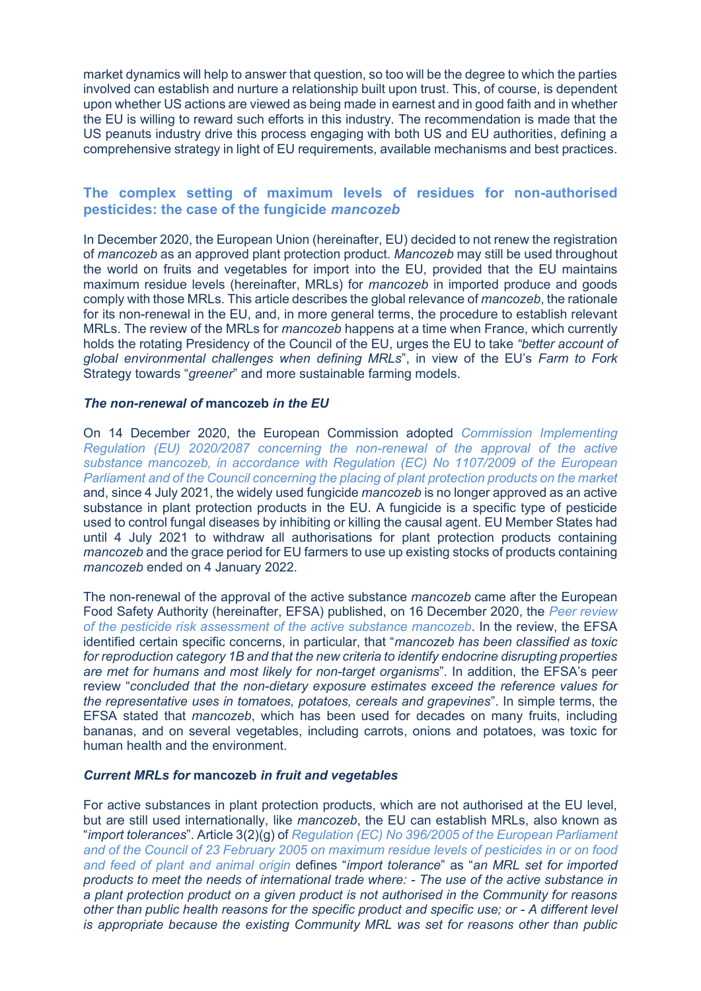market dynamics will help to answer that question, so too will be the degree to which the parties involved can establish and nurture a relationship built upon trust. This, of course, is dependent upon whether US actions are viewed as being made in earnest and in good faith and in whether the EU is willing to reward such efforts in this industry. The recommendation is made that the US peanuts industry drive this process engaging with both US and EU authorities, defining a comprehensive strategy in light of EU requirements, available mechanisms and best practices.

# <span id="page-6-0"></span>**The complex setting of maximum levels of residues for non-authorised pesticides: the case of the fungicide** *mancozeb*

In December 2020, the European Union (hereinafter, EU) decided to not renew the registration of *mancozeb* as an approved plant protection product. *Mancozeb* may still be used throughout the world on fruits and vegetables for import into the EU, provided that the EU maintains maximum residue levels (hereinafter, MRLs) for *mancozeb* in imported produce and goods comply with those MRLs. This article describes the global relevance of *mancozeb*, the rationale for its non-renewal in the EU, and, in more general terms, the procedure to establish relevant MRLs. The review of the MRLs for *mancozeb* happens at a time when France, which currently holds the rotating Presidency of the Council of the EU, urges the EU to take *"better account of global environmental challenges when defining MRLs*", in view of the EU's *Farm to Fork* Strategy towards "*greener*" and more sustainable farming models.

### *The non-renewal of* **mancozeb** *in the EU*

On 14 December 2020, the European Commission adopted *[Commission Implementing](https://eur-lex.europa.eu/legal-content/EN/TXT/?uri=CELEX:32020R2087&qid=1608132304092)  [Regulation \(EU\) 2020/2087 concerning the non-renewal of the approval of the active](https://eur-lex.europa.eu/legal-content/EN/TXT/?uri=CELEX:32020R2087&qid=1608132304092)  [substance mancozeb, in accordance with Regulation \(EC\) No 1107/2009 of the European](https://eur-lex.europa.eu/legal-content/EN/TXT/?uri=CELEX:32020R2087&qid=1608132304092)  [Parliament and of the Council concerning the placing of plant protection products on the market](https://eur-lex.europa.eu/legal-content/EN/TXT/?uri=CELEX:32020R2087&qid=1608132304092)* and, since 4 July 2021, the widely used fungicide *mancozeb* is no longer approved as an active substance in plant protection products in the EU. A fungicide is a specific type of pesticide used to control fungal diseases by inhibiting or killing the causal agent. EU Member States had until 4 July 2021 to withdraw all authorisations for plant protection products containing *mancozeb* and the grace period for EU farmers to use up existing stocks of products containing *mancozeb* ended on 4 January 2022.

The non-renewal of the approval of the active substance *mancozeb* came after the European Food Safety Authority (hereinafter, EFSA) published, on 16 December 2020, the *[Peer review](https://efsa.onlinelibrary.wiley.com/doi/10.2903/j.efsa.2020.5755)  [of the pesticide risk assessment of the active substance](https://efsa.onlinelibrary.wiley.com/doi/10.2903/j.efsa.2020.5755) mancozeb*. In the review, the EFSA identified certain specific concerns, in particular, that "*mancozeb has been classified as toxic for reproduction category 1B and that the new criteria to identify endocrine disrupting properties are met for humans and most likely for non-target organisms*". In addition, the EFSA's peer review "*concluded that the non-dietary exposure estimates exceed the reference values for the representative uses in tomatoes, potatoes, cereals and grapevines*". In simple terms, the EFSA stated that *mancozeb*, which has been used for decades on many fruits, including bananas, and on several vegetables, including carrots, onions and potatoes, was toxic for human health and the environment.

### *Current MRLs for* **mancozeb** *in fruit and vegetables*

For active substances in plant protection products, which are not authorised at the EU level, but are still used internationally, like *mancozeb*, the EU can establish MRLs, also known as "*import tolerances*". Article 3(2)(g) of *[Regulation \(EC\) No 396/2005 of the European Parliament](https://eur-lex.europa.eu/legal-content/EN/ALL/?uri=CELEX%3A32005R0396)  [and of the Council of 23 February 2005 on maximum residue levels of pesticides in or on food](https://eur-lex.europa.eu/legal-content/EN/ALL/?uri=CELEX%3A32005R0396)  [and feed of plant and animal origin](https://eur-lex.europa.eu/legal-content/EN/ALL/?uri=CELEX%3A32005R0396)* defines "*import tolerance*" as "*an MRL set for imported products to meet the needs of international trade where: - The use of the active substance in a plant protection product on a given product is not authorised in the Community for reasons other than public health reasons for the specific product and specific use; or - A different level is appropriate because the existing Community MRL was set for reasons other than public*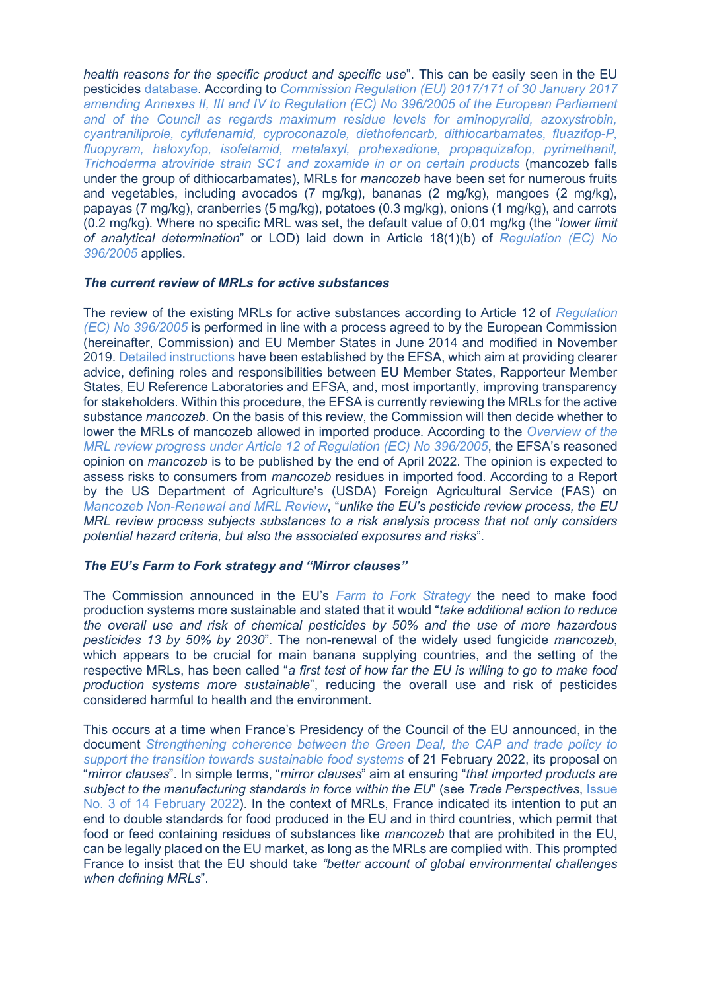*health reasons for the specific product and specific use*". This can be easily seen in the EU pesticides [database.](https://ec.europa.eu/food/plant/pesticides/eu-pesticides-database/mrls/?event=details&pest_res_ids=83&product_ids=&v=1&e=search.pr) According to *[Commission Regulation \(EU\) 2017/171 of 30 January 2017](https://eur-lex.europa.eu/legal-content/EN/TXT/?uri=CELEX%3A32017R0171#:~:text=Commission%20Regulation%20(EU)%202017%2F,%2C%20diethofencarb%2C%20dithiocarbamates%2C%20fluazifop%2D)  [amending Annexes II, III and IV to Regulation \(EC\) No 396/2005 of the European Parliament](https://eur-lex.europa.eu/legal-content/EN/TXT/?uri=CELEX%3A32017R0171#:~:text=Commission%20Regulation%20(EU)%202017%2F,%2C%20diethofencarb%2C%20dithiocarbamates%2C%20fluazifop%2D)  [and of the Council as regards maximum residue levels for aminopyralid, azoxystrobin,](https://eur-lex.europa.eu/legal-content/EN/TXT/?uri=CELEX%3A32017R0171#:~:text=Commission%20Regulation%20(EU)%202017%2F,%2C%20diethofencarb%2C%20dithiocarbamates%2C%20fluazifop%2D)  [cyantraniliprole, cyflufenamid, cyproconazole, diethofencarb, dithiocarbamates, fluazifop-P,](https://eur-lex.europa.eu/legal-content/EN/TXT/?uri=CELEX%3A32017R0171#:~:text=Commission%20Regulation%20(EU)%202017%2F,%2C%20diethofencarb%2C%20dithiocarbamates%2C%20fluazifop%2D)  [fluopyram, haloxyfop, isofetamid, metalaxyl, prohexadione, propaquizafop, pyrimethanil,](https://eur-lex.europa.eu/legal-content/EN/TXT/?uri=CELEX%3A32017R0171#:~:text=Commission%20Regulation%20(EU)%202017%2F,%2C%20diethofencarb%2C%20dithiocarbamates%2C%20fluazifop%2D)  [Trichoderma atroviride strain SC1 and zoxamide in or on certain products](https://eur-lex.europa.eu/legal-content/EN/TXT/?uri=CELEX%3A32017R0171#:~:text=Commission%20Regulation%20(EU)%202017%2F,%2C%20diethofencarb%2C%20dithiocarbamates%2C%20fluazifop%2D)* (mancozeb falls under the group of dithiocarbamates), MRLs for *mancozeb* have been set for numerous fruits and vegetables, including avocados (7 mg/kg), bananas (2 mg/kg), mangoes (2 mg/kg), papayas (7 mg/kg), cranberries (5 mg/kg), potatoes (0.3 mg/kg), onions (1 mg/kg), and carrots (0.2 mg/kg). Where no specific MRL was set, the default value of 0,01 mg/kg (the "*lower limit of analytical determination*" or LOD) laid down in Article 18(1)(b) of *[Regulation \(EC\) No](https://eur-lex.europa.eu/legal-content/EN/ALL/?uri=CELEX%3A32005R0396)  [396/2005](https://eur-lex.europa.eu/legal-content/EN/ALL/?uri=CELEX%3A32005R0396)* applies.

### *The current review of MRLs for active substances*

The review of the existing MRLs for active substances according to Article 12 of *[Regulation](https://eur-lex.europa.eu/legal-content/EN/ALL/?uri=CELEX%3A32005R0396)  [\(EC\) No 396/2005](https://eur-lex.europa.eu/legal-content/EN/ALL/?uri=CELEX%3A32005R0396)* is performed in line with a process agreed to by the European Commission (hereinafter, Commission) and EU Member States in June 2014 and modified in November 2019. [Detailed instructions](https://www.efsa.europa.eu/sites/default/files/topic/01_Work%20instructions%20MRL%20review%20Article%2012.pdf) have been established by the EFSA, which aim at providing clearer advice, defining roles and responsibilities between EU Member States, Rapporteur Member States, EU Reference Laboratories and EFSA, and, most importantly, improving transparency for stakeholders. Within this procedure, the EFSA is currently reviewing the MRLs for the active substance *mancozeb*. On the basis of this review, the Commission will then decide whether to lower the MRLs of mancozeb allowed in imported produce. According to the *[Overview of the](https://www.efsa.europa.eu/sites/default/files/pesticides-MRL-review-progress-report.pdf)  [MRL review progress under Article 12 of Regulation \(EC\) No 396/2005](https://www.efsa.europa.eu/sites/default/files/pesticides-MRL-review-progress-report.pdf)*, the EFSA's reasoned opinion on *mancozeb* is to be published by the end of April 2022. The opinion is expected to assess risks to consumers from *mancozeb* residues in imported food. According to a Report by the US Department of Agriculture's (USDA) Foreign Agricultural Service (FAS) on *[Mancozeb Non-Renewal and MRL Review](https://apps.fas.usda.gov/newgainapi/api/Report/DownloadReportByFileName?fileName=Mancozeb%20Non-Renewal%20and%20MRL%20Review%20%20%20%20%20_Brussels%20USEU_European%20Union_12-14-2020)*, "*unlike the EU's pesticide review process, the EU MRL review process subjects substances to a risk analysis process that not only considers potential hazard criteria, but also the associated exposures and risks*".

# *The EU's Farm to Fork strategy and "Mirror clauses"*

The Commission announced in the EU's *[Farm to Fork Strategy](https://eur-lex.europa.eu/legal-content/EN/TXT/?uri=CELEX:52020DC0381)* the need to make food production systems more sustainable and stated that it would "*take additional action to reduce the overall use and risk of chemical pesticides by 50% and the use of more hazardous pesticides 13 by 50% by 2030*". The non-renewal of the widely used fungicide *mancozeb*, which appears to be crucial for main banana supplying countries, and the setting of the respective MRLs, has been called "*a first test of how far the EU is willing to go to make food production systems more sustainable*", reducing the overall use and risk of pesticides considered harmful to health and the environment.

This occurs at a time when France's Presidency of the Council of the EU announced, in the document *[Strengthening coherence between the Green Deal, the CAP and trade policy to](https://data.consilium.europa.eu/doc/document/ST-5887-2022-INIT/en/pdf)  [support the transition towards sustainable food systems](https://data.consilium.europa.eu/doc/document/ST-5887-2022-INIT/en/pdf)* of 21 February 2022, its proposal on "*mirror clauses*". In simple terms, "*mirror clauses*" aim at ensuring "*that imported products are subject to the manufacturing standards in force within the EU*" (see *Trade Perspectives*, [Issue](http://www.fratinivergano.eu/en/14-february-2022/#_Discussion_on_reciprocal)  [No. 3 of 14 February 2022\)](http://www.fratinivergano.eu/en/14-february-2022/#_Discussion_on_reciprocal). In the context of MRLs, France indicated its intention to put an end to double standards for food produced in the EU and in third countries, which permit that food or feed containing residues of substances like *mancozeb* that are prohibited in the EU, can be legally placed on the EU market, as long as the MRLs are complied with. This prompted France to insist that the EU should take *"better account of global environmental challenges when defining MRLs*".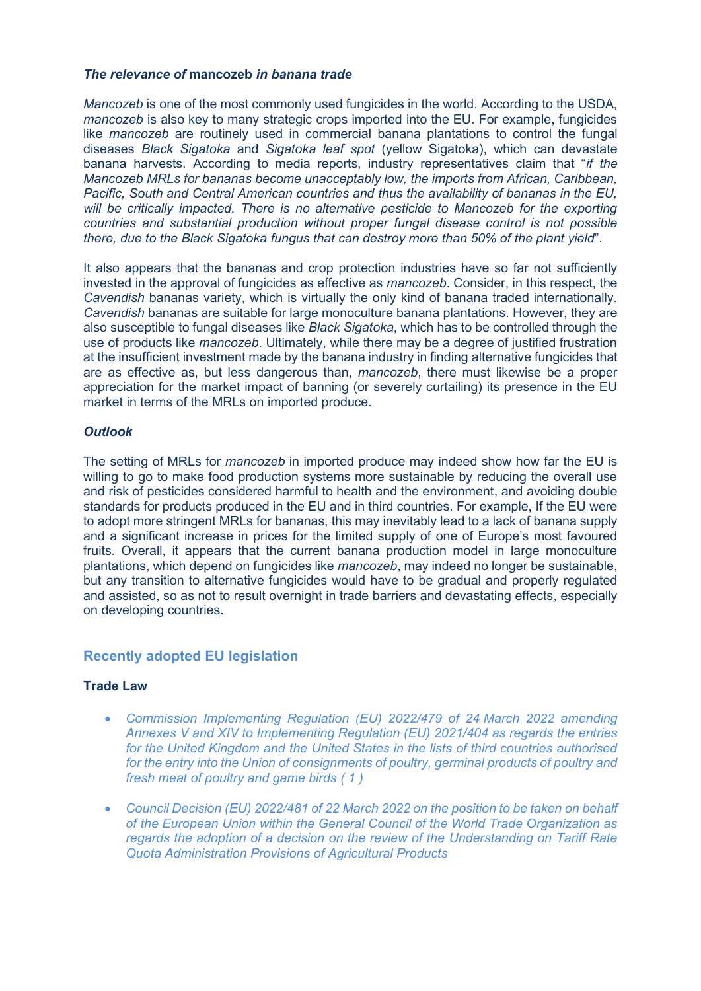# *The relevance of* **mancozeb** *in banana trade*

*Mancozeb* is one of the most commonly used fungicides in the world. According to the USDA, *mancozeb* is also key to many strategic crops imported into the EU. For example, fungicides like *mancozeb* are routinely used in commercial banana plantations to control the fungal diseases *Black Sigatoka* and *Sigatoka leaf spot* (yellow Sigatoka), which can devastate banana harvests. According to media reports, industry representatives claim that "*if the Mancozeb MRLs for bananas become unacceptably low, the imports from African, Caribbean, Pacific, South and Central American countries and thus the availability of bananas in the EU, will be critically impacted. There is no alternative pesticide to Mancozeb for the exporting countries and substantial production without proper fungal disease control is not possible there, due to the Black Sigatoka fungus that can destroy more than 50% of the plant yield*".

It also appears that the bananas and crop protection industries have so far not sufficiently invested in the approval of fungicides as effective as *mancozeb*. Consider, in this respect, the *Cavendish* bananas variety, which is virtually the only kind of banana traded internationally. *Cavendish* bananas are suitable for large monoculture banana plantations. However, they are also susceptible to fungal diseases like *Black Sigatoka*, which has to be controlled through the use of products like *mancozeb*. Ultimately, while there may be a degree of justified frustration at the insufficient investment made by the banana industry in finding alternative fungicides that are as effective as, but less dangerous than, *mancozeb*, there must likewise be a proper appreciation for the market impact of banning (or severely curtailing) its presence in the EU market in terms of the MRLs on imported produce.

# *Outlook*

The setting of MRLs for *mancozeb* in imported produce may indeed show how far the EU is willing to go to make food production systems more sustainable by reducing the overall use and risk of pesticides considered harmful to health and the environment, and avoiding double standards for products produced in the EU and in third countries. For example, If the EU were to adopt more stringent MRLs for bananas, this may inevitably lead to a lack of banana supply and a significant increase in prices for the limited supply of one of Europe's most favoured fruits. Overall, it appears that the current banana production model in large monoculture plantations, which depend on fungicides like *mancozeb*, may indeed no longer be sustainable, but any transition to alternative fungicides would have to be gradual and properly regulated and assisted, so as not to result overnight in trade barriers and devastating effects, especially on developing countries.

# <span id="page-8-0"></span>**Recently adopted EU legislation**

### **Trade Law**

- *[Commission Implementing Regulation \(EU\) 2022/479 of 24](https://eur-lex.europa.eu/legal-content/EN/AUTO/?uri=uriserv:OJ.L_.2022.098.01.0057.01.ENG&toc=OJ:L:2022:098:TOC) March 2022 amending [Annexes V and XIV to Implementing Regulation \(EU\) 2021/404 as regards the entries](https://eur-lex.europa.eu/legal-content/EN/AUTO/?uri=uriserv:OJ.L_.2022.098.01.0057.01.ENG&toc=OJ:L:2022:098:TOC)  [for the United Kingdom and the United States in the lists of third countries authorised](https://eur-lex.europa.eu/legal-content/EN/AUTO/?uri=uriserv:OJ.L_.2022.098.01.0057.01.ENG&toc=OJ:L:2022:098:TOC)  [for the entry into the Union of consignments of poultry, germinal products of poultry and](https://eur-lex.europa.eu/legal-content/EN/AUTO/?uri=uriserv:OJ.L_.2022.098.01.0057.01.ENG&toc=OJ:L:2022:098:TOC)  [fresh meat of poultry and game birds](https://eur-lex.europa.eu/legal-content/EN/AUTO/?uri=uriserv:OJ.L_.2022.098.01.0057.01.ENG&toc=OJ:L:2022:098:TOC) ( [1 \)](https://eur-lex.europa.eu/legal-content/EN/TXT/?uri=OJ:L:2022:098:TOC#TN1)*
- *[Council Decision \(EU\) 2022/481 of 22 March 2022 on the position to be taken on behalf](https://eur-lex.europa.eu/legal-content/EN/TXT/?uri=uriserv%3AOJ.L_.2022.098.01.0076.01.ENG&toc=OJ%3AL%3A2022%3A098%3ATOC)  [of the European Union within the General Council of the World Trade Organization as](https://eur-lex.europa.eu/legal-content/EN/TXT/?uri=uriserv%3AOJ.L_.2022.098.01.0076.01.ENG&toc=OJ%3AL%3A2022%3A098%3ATOC)  [regards the adoption of a decision on the review of the Understanding on Tariff Rate](https://eur-lex.europa.eu/legal-content/EN/TXT/?uri=uriserv%3AOJ.L_.2022.098.01.0076.01.ENG&toc=OJ%3AL%3A2022%3A098%3ATOC)  Quota Administration [Provisions of Agricultural Products](https://eur-lex.europa.eu/legal-content/EN/TXT/?uri=uriserv%3AOJ.L_.2022.098.01.0076.01.ENG&toc=OJ%3AL%3A2022%3A098%3ATOC)*